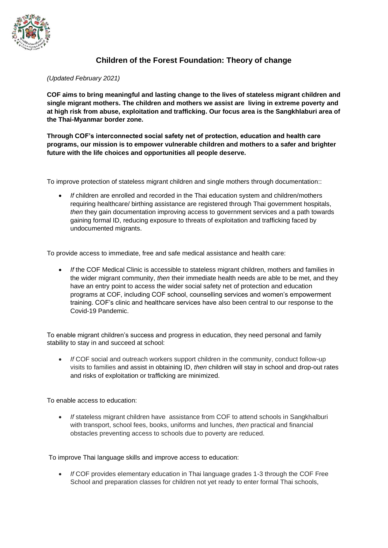

## **Children of the Forest Foundation: Theory of change**

## *(Updated February 2021)*

**COF aims to bring meaningful and lasting change to the lives of stateless migrant children and single migrant mothers. The children and mothers we assist are living in extreme poverty and at high risk from abuse, exploitation and trafficking. Our focus area is the Sangkhlaburi area of the Thai-Myanmar border zone.** 

**Through COF's interconnected social safety net of protection, education and health care programs, our mission is to empower vulnerable children and mothers to a safer and brighter future with the life choices and opportunities all people deserve.** 

To improve protection of stateless migrant children and single mothers through documentation::

• *If* children are enrolled and recorded in the Thai education system and children/mothers requiring healthcare/ birthing assistance are registered through Thai government hospitals, *then* they gain documentation improving access to government services and a path towards gaining formal ID, reducing exposure to threats of exploitation and trafficking faced by undocumented migrants.

To provide access to immediate, free and safe medical assistance and health care:

• *If* the COF Medical Clinic is accessible to stateless migrant children, mothers and families in the wider migrant community, *then* their immediate health needs are able to be met, and they have an entry point to access the wider social safety net of protection and education programs at COF, including COF school, counselling services and women's empowerment training. COF's clinic and healthcare services have also been central to our response to the Covid-19 Pandemic.

To enable migrant children's success and progress in education, they need personal and family stability to stay in and succeed at school:

• *If* COF social and outreach workers support children in the community, conduct follow-up visits to families and assist in obtaining ID, *then* children will stay in school and drop-out rates and risks of exploitation or trafficking are minimized.

To enable access to education:

• *If* stateless migrant children have assistance from COF to attend schools in Sangkhalburi with transport, school fees, books, uniforms and lunches, *then* practical and financial obstacles preventing access to schools due to poverty are reduced.

To improve Thai language skills and improve access to education:

• *If* COF provides elementary education in Thai language grades 1-3 through the COF Free School and preparation classes for children not yet ready to enter formal Thai schools,